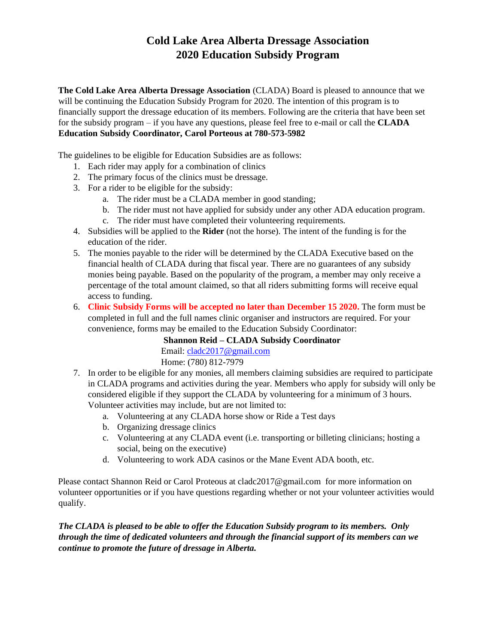## **Cold Lake Area Alberta Dressage Association 2020 Education Subsidy Program**

**The Cold Lake Area Alberta Dressage Association** (CLADA) Board is pleased to announce that we will be continuing the Education Subsidy Program for 2020. The intention of this program is to financially support the dressage education of its members. Following are the criteria that have been set for the subsidy program – if you have any questions, please feel free to e-mail or call the **CLADA Education Subsidy Coordinator, Carol Porteous at 780-573-5982**

The guidelines to be eligible for Education Subsidies are as follows:

- 1. Each rider may apply for a combination of clinics
- 2. The primary focus of the clinics must be dressage.
- 3. For a rider to be eligible for the subsidy:
	- a. The rider must be a CLADA member in good standing;
	- b. The rider must not have applied for subsidy under any other ADA education program.
	- c. The rider must have completed their volunteering requirements.
- 4. Subsidies will be applied to the **Rider** (not the horse). The intent of the funding is for the education of the rider.
- 5. The monies payable to the rider will be determined by the CLADA Executive based on the financial health of CLADA during that fiscal year. There are no guarantees of any subsidy monies being payable. Based on the popularity of the program, a member may only receive a percentage of the total amount claimed, so that all riders submitting forms will receive equal access to funding.
- 6. **Clinic Subsidy Forms will be accepted no later than December 15 2020.** The form must be completed in full and the full names clinic organiser and instructors are required. For your convenience, forms may be emailed to the Education Subsidy Coordinator:

**Shannon Reid – CLADA Subsidy Coordinator** Email: cladc2017@gmail.com Home: (780) 812-7979

- 7. In order to be eligible for any monies, all members claiming subsidies are required to participate in CLADA programs and activities during the year. Members who apply for subsidy will only be considered eligible if they support the CLADA by volunteering for a minimum of 3 hours. Volunteer activities may include, but are not limited to:
	- a. Volunteering at any CLADA horse show or Ride a Test days
	- b. Organizing dressage clinics
	- c. Volunteering at any CLADA event (i.e. transporting or billeting clinicians; hosting a social, being on the executive)
	- d. Volunteering to work ADA casinos or the Mane Event ADA booth, etc.

Please contact Shannon Reid or Carol Proteous at cladc2017@gmail.com for more information on volunteer opportunities or if you have questions regarding whether or not your volunteer activities would qualify.

*The CLADA is pleased to be able to offer the Education Subsidy program to its members. Only through the time of dedicated volunteers and through the financial support of its members can we continue to promote the future of dressage in Alberta.*